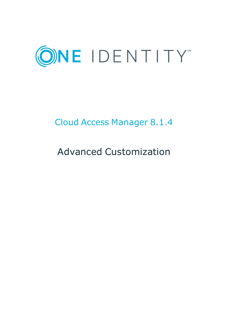

# Cloud Access Manager 8.1.4

# Advanced Customization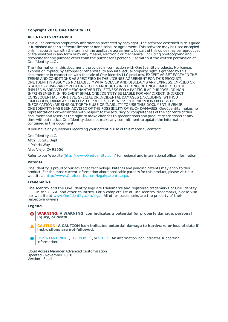#### **Copyright 2018 One Identity LLC.**

#### **ALL RIGHTS RESERVED.**

This guide contains proprietary information protected by copyright. The software described in this guide is furnished under a software license or nondisclosure agreement. This software may be used or copied only in accordance with the terms of the applicable agreement. No part of this guide may be reproduced or transmitted in any form or by any means, electronic or mechanical, including photocopying and recording for any purpose other than the purchaser's personal use without the written permission of One Identity LLC .

The information in this document is provided in connection with One Identity products. No license, express or implied, by estoppel or otherwise, to any intellectual property right is granted by this document or in connection with the sale of One Identity LLC products. EXCEPT AS SET FORTH IN THE TERMS AND CONDITIONS AS SPECIFIED IN THE LICENSE AGREEMENT FOR THIS PRODUCT, ONE IDENTITY ASSUMES NO LIABILITY WHATSOEVER AND DISCLAIMS ANY EXPRESS, IMPLIED OR STATUTORY WARRANTY RELATING TO ITS PRODUCTS INCLUDING, BUT NOT LIMITED TO, THE IMPLIED WARRANTY OF MERCHANTABILITY, FITNESS FOR A PARTICULAR PURPOSE, OR NON-INFRINGEMENT. IN NO EVENT SHALL ONE IDENTITY BE LIABLE FOR ANY DIRECT, INDIRECT, CONSEQUENTIAL, PUNITIVE, SPECIAL OR INCIDENTAL DAMAGES (INCLUDING, WITHOUT LIMITATION, DAMAGES FOR LOSS OF PROFITS, BUSINESS INTERRUPTION OR LOSS OF INFORMATION) ARISING OUT OF THE USE OR INABILITY TO USE THIS DOCUMENT, EVEN IF ONE IDENTITY HAS BEEN ADVISED OF THE POSSIBILITY OF SUCH DAMAGES. One Identity makes no representations or warranties with respect to the accuracy or completeness of the contents of this document and reserves the right to make changes to specifications and product descriptions at any time without notice. One Identity does not make any commitment to update the information contained in this document.

If you have any questions regarding your potential use of this material, contact:

One Identity LLC. Attn: LEGAL Dept 4 Polaris Way Aliso Viejo, CA 92656

Refer to our Web site ([http://www.OneIdentity.com](http://www.oneidentity.com/)) for regional and international office information.

#### **Patents**

One Identity is proud of our advanced technology. Patents and pending patents may apply to this product. For the most current information about applicable patents for this product, please visit our website at [http://www.OneIdentity.com/legal/patents.aspx](http://www.oneidentity.com/legal/patents.aspx).

#### **Trademarks**

One Identity and the One Identity logo are trademarks and registered trademarks of One Identity LLC. in the U.S.A. and other countries. For a complete list of One Identity trademarks, please visit our website at [www.OneIdentity.com/legal](http://www.oneidentity.com/legal). All other trademarks are the property of their respective owners.

#### **Legend**

- **WARNING: A WARNING icon indicates a potential for property damage, personal injury, or death.**
- **CAUTION: A CAUTION icon indicates potential damage to hardware or loss of data if instructions are not followed.**
- IMPORTANT, NOTE, TIP, MOBILE, or VIDEO: An information icon indicates supporting Œ information.

Cloud Access Manager Advanced Customization Updated - November 2018 Version - 8.1.4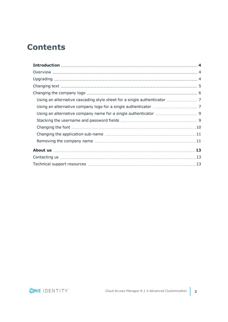# **Contents**

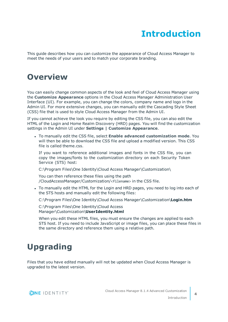# **Introduction**

<span id="page-3-0"></span>This guide describes how you can customize the appearance of Cloud Access Manager to meet the needs of your users and to match your corporate branding.

### <span id="page-3-1"></span>**Overview**

You can easily change common aspects of the look and feel of Cloud Access Manager using the **Customize Appearance** options in the Cloud Access Manager Administration User Interface (UI). For example, you can change the colors, company name and logo in the Admin UI. For more extensive changes, you can manually edit the Cascading Style Sheet (CSS) file that is used to style Cloud Access Manager from the Admin UI.

If you cannot achieve the look you require by editing the CSS file, you can also edit the HTML of the Login and Home Realm Discovery (HRD) pages. You will find the customization settings in the Admin UI under **Settings | Customize Appearance**.

<sup>l</sup> To manually edit the CSS file, select **Enable advanced customization mode**. You will then be able to download the CSS file and upload a modified version. This CSS file is called theme.css.

If you want to reference additional images and fonts in the CSS file, you can copy the images/fonts to the customization directory on each Security Token Service (STS) host:

C:\Program Files\One Identity\Cloud Access Manager\Customization\

You can then reference these files using the path /CloudAccessManager/Customization/<filename> in the CSS file.

• To manually edit the HTML for the Login and HRD pages, you need to log into each of the STS hosts and manually edit the following files:

C:\Program Files\One Identity\Cloud Access Manager\Customization\**Login.htm**

C:\Program Files\One Identity\Cloud Access Manager\Customization\**UserIdentity.html**

When you edit these HTML files, you must ensure the changes are applied to each STS host. If you need to include JavaScript or image files, you can place these files in the same directory and reference them using a relative path.

# <span id="page-3-2"></span>**Upgrading**

Files that you have edited manually will not be updated when Cloud Access Manager is upgraded to the latest version.

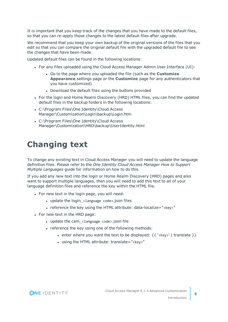It is important that you keep track of the changes that you have made to the default files, so that you can re-apply those changes to the latest default files after upgrade.

We recommend that you keep your own backup of the original versions of the files that you edit so that you can compare the original default file with the upgraded default file to see the changes that have been made.

Updated default files can be found in the following locations:

- For any files uploaded using the Cloud Access Manager Admin User Interface (UI):
	- . Go to the page where you uploaded the file (such as the **Customize Appearance** settings page or the **Customize** page for any authenticators that you have customized)
	- Download the default files using the buttons provided
- For the login and Home Realm Discovery (HRD) HTML files, you can find the updated default files in the backup folders in the following locations:
- C:\Program Files\One Identity\Cloud Access Manager\Customization\Login\backup\Login.htm
- C:\Program Files\One Identity\Cloud Access Manager\Customization\HRD\backup\UserIdentity.html

## <span id="page-4-0"></span>**Changing text**

To change any existing text in Cloud Access Manager you will need to update the language definition files. Please refer to the *One Identity Cloud Access Manager How to Support Multiple Languages* guide for information on how to do this.

If you add any new text into the login or Home Realm Discovery (HRD) pages and also want to support multiple languages, then you will need to add this text to all of your language definition files and reference the key within the HTML file.

- For new text in the login page, you will need:
	- update the login\_<language code>.json files
	- reference the key using the HTML attribute: data-localize="<key>"
- For new text in the HRD page:
	- $\bullet$  update the cam\_<language code>.json file
	- . reference the key using one of the following methods:
		- enter where you want the text to be displayed:  $\{ \{ \text{'} \mid \text{translate } \} \}$
		- $\cdot$  using the HTML attribute: translate="<key>"

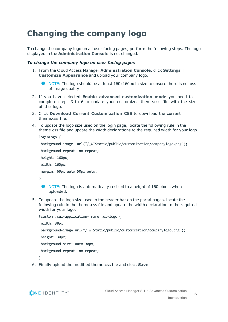# <span id="page-5-0"></span>**Changing the company logo**

To change the company logo on all user facing pages, perform the following steps. The logo displayed in the **Administration Console** is not changed.

### *To change the company logo on user facing pages*

1. From the Cloud Access Manager **Administration Console**, click **Settings | Customize Appearance** and upload your company logo.

```
NOTE: The logo should be at least 160x160px in size to ensure there is no loss
of image quality.
```
- 2. If you have selected **Enable advanced customization mode** you need to complete steps 3 to 6 to update your customized theme.css file with the size of the logo.
- 3. Click **Download Current Customization CSS** to download the current theme.css file.
- 4. To update the logo size used on the login page, locate the following rule in the theme.css file and update the width declarations to the required width for your logo.

```
loginLogo {
 background-image: url("/_WTStatic/public/customization/companylogo.png");
 background-repeat: no-repeat;
 height: 160px;
 width: 160px;
 margin: 60px auto 50px auto;
}
    NOTE: The logo is automatically resized to a height of 160 pixels when
 6
```
5. To update the logo size used in the header bar on the portal pages, locate the following rule in the theme.css file and update the width declaration to the required width for your logo.

```
#custom .cui-application-frame .oi-logo {
 width: 30px;
 background-image:url("/_WTStatic/public/customization/companylogo.png");
 height: 30px;
 background-size: auto 30px;
 background-repeat: no-repeat;
}
```
6. Finally upload the modified theme.css file and clock **Save**.

uploaded.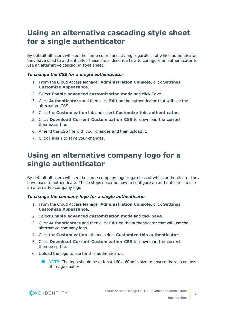### <span id="page-6-0"></span>**Using an alternative cascading style sheet for a single authenticator**

By default all users will see the same colors and styling regardless of which authenticator they have used to authenticate. These steps describe how to configure an authenticator to use an alternative cascading style sheet.

### *To change the CSS for a single authenticator*

- 1. From the Cloud Access Manager **Administration Console**, click **Settings | Customize Appearance**.
- 2. Select **Enable advanced customization mode** and click Save.
- 3. Click **Authenticators** and then click **Edit** on the authenticator that will use the alternative CSS.
- 4. Click the **Customization** tab and select **Customize this authenticator**.
- 5. Click **Download Current Customization CSS** to download the current theme.css file.
- 6. Amend the CSS file with your changes and then upload it.
- <span id="page-6-1"></span>7. Click **Finish** to save your changes.

### **Using an alternative company logo for a single authenticator**

By default all users will see the same company logo regardless of which authenticator they have used to authenticate. These steps describe how to configure an authenticator to use an alternative company logo.

### *To change the company logo for a single authenticator*

- 1. From the Cloud Access Manager **Administration Console**, click **Settings | Customize Appearance**.
- 2. Select **Enable advanced customization mode** and click **Save**.
- 3. Click **Authenticators** and then click **Edit** on the authenticator that will use the alternative company logo.
- 4. Click the **Customization** tab and select **Customize this authenticator**.
- 5. Click **Download Current Customization CSS** to download the current theme.css file.
- 6. Upload the logo to use for this authenticator.
	- NOTE: The logo should be at least 160x160px in size to ensure there is no loss of image quality.

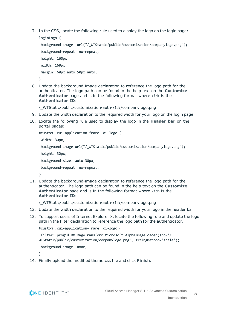7. In the CSS, locate the following rule used to display the logo on the login page:

```
loginLogo {
 background-image: url("/_WTStatic/public/customization/companylogo.png");
 background-repeat: no-repeat;
 height: 160px;
 width: 160px;
 margin: 60px auto 50px auto;
}
```
8. Update the background-image declaration to reference the logo path for the authenticator. The logo path can be found in the help text on the **Customize Authenticator** page and is in the following format where <id> is the **Authenticator ID**:

/\_WTStatic/public/customization/auth-<id>/companylogo.png

- 9. Update the width declaration to the required width for your logo on the login page.
- 10. Locate the following rule used to display the logo in the **Header bar** on the portal pages:

```
#custom .cui-application-frame .oi-logo {
 width: 30px;
 background-image:url("/_WTStatic/public/customization/companylogo.png");
 height: 30px;
 background-size: auto 30px;
 background-repeat: no-repeat;
}
```
11. Update the background-image declaration to reference the logo path for the authenticator. The logo path can be found in the help text on the **Customize Authenticator** page and is in the following format where <id> is the **Authenticator ID**:

/\_WTStatic/public/customization/auth-<id>/companylogo.png

- 12. Update the width declaration to the required width for your logo in the header bar.
- 13. To support users of Internet Explorer 8, locate the following rule and update the logo path in the filter declaration to reference the logo path for the authenticator.

```
#custom .cui-application-frame .oi-logo {
 filter: progid:DXImageTransform.Microsoft.AlphaImageLoader(src='/_
WTStatic/public/customization/companylogo.png', sizingMethod='scale');
 background-image: none;
```
}

14. Finally upload the modified theme.css file and click **Finish**.

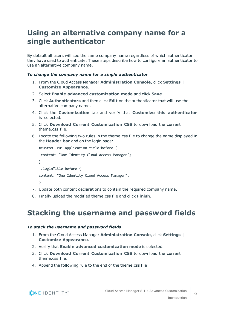### <span id="page-8-0"></span>**Using an alternative company name for a single authenticator**

By default all users will see the same company name regardless of which authenticator they have used to authenticate. These steps describe how to configure an authenticator to use an alternative company name.

### *To change the company name for a single authenticator*

- 1. From the Cloud Access Manager **Administration Console**, click **Settings | Customize Appearance**.
- 2. Select **Enable advanced customization mode** and click **Save**.
- 3. Click **Authenticators** and then click **Edit** on the authenticator that will use the alternative company name.
- 4. Click the **Customization** tab and verify that **Customize this authenticator** is selected.
- 5. Click **Download Current Customization CSS** to download the current theme.css file.
- 6. Locate the following two rules in the theme.css file to change the name displayed in the **Header bar** and on the login page:

```
#custom .cui-application-title:before {
 content: "One Identity Cloud Access Manager";
}
  .loginTitle:before {
content: "One Identity Cloud Access Manager";
}
```
- 7. Update both content declarations to contain the required company name.
- <span id="page-8-1"></span>8. Finally upload the modified theme.css file and click **Finish**.

### **Stacking the username and password fields**

### *To stack the username and password fields*

- 1. From the Cloud Access Manager **Administration Console**, click **Settings | Customize Appearance**.
- 2. Verify that **Enable advanced customization mode** is selected.
- 3. Click **Download Current Customization CSS** to download the current theme.css file.
- 4. Append the following rule to the end of the theme.css file:

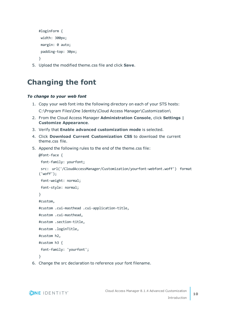```
#loginForm {
width: 300px;
 margin: 0 auto;
  padding-top: 30px;
}
```
<span id="page-9-0"></span>5. Upload the modified theme.css file and click **Save**.

### **Changing the font**

### *To change to your web font*

- 1. Copy your web font into the following directory on each of your STS hosts: C:\Program Files\One Identity\Cloud Access Manager\Customization\
- 2. From the Cloud Access Manager **Administration Console**, click **Settings | Customize Appearance**.
- 3. Verify that **Enable advanced customization mode** is selected.
- 4. Click **Download Current Customization CSS** to download the current theme.css file.
- 5. Append the following rules to the end of the theme.css file:

```
@font-face {
  font-family: yourfont;
  src: url('/CloudAccessManager/Customization/yourfont-webfont.woff') format
('woff');
  font-weight: normal;
  font-style: normal;
}
#custom,
#custom .cui-masthead .cui-application-title,
#custom .cui-masthead,
#custom .section-title,
#custom .loginTitle,
#custom h2,
#custom h3 {
  font-family: 'yourfont';
}
```
6. Change the src declaration to reference your font filename.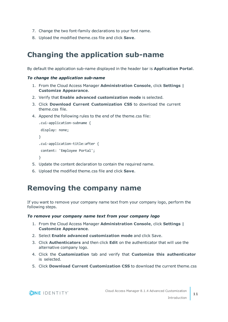- 7. Change the two font-family declarations to your font name.
- <span id="page-10-0"></span>8. Upload the modified theme.css file and click **Save**.

### **Changing the application sub-name**

By default the application sub-name displayed in the header bar is **Application Portal**.

### *To change the application sub-name*

- 1. From the Cloud Access Manager **Administration Console**, click **Settings | Customize Appearance**.
- 2. Verify that **Enable advanced customization mode** is selected.
- 3. Click **Download Current Customization CSS** to download the current theme.css file.
- 4. Append the following rules to the end of the theme.css file:

```
.cui-application-subname {
 display: none;
}
.cui-application-title:after {
 content: 'Employee Portal';
}
```
- 5. Update the content declaration to contain the required name.
- <span id="page-10-1"></span>6. Upload the modified theme.css file and click **Save**.

### **Removing the company name**

If you want to remove your company name text from your company logo, perform the following steps.

### *To remove your company name text from your company logo*

- 1. From the Cloud Access Manager **Administration Console**, click **Settings | Customize Appearance**.
- 2. Select **Enable advanced customization mode** and click Save.
- 3. Click **Authenticators** and then click **Edit** on the authenticator that will use the alternative company logo.
- 4. Click the **Customization** tab and verify that **Customize this authenticator** is selected.
- 5. Click **Download Current Customization CSS** to download the current theme.css

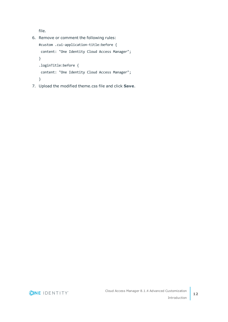file.

- 6. Remove or comment the following rules: #custom .cui-application-title:before { content: "One Identity Cloud Access Manager"; } .loginTitle:before { content: "One Identity Cloud Access Manager"; }
- 7. Upload the modified theme.css file and click **Save**.